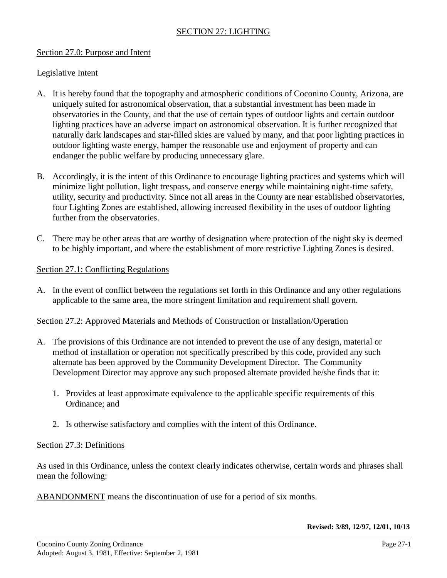# SECTION 27: LIGHTING

#### Section 27.0: Purpose and Intent

Legislative Intent

- A. It is hereby found that the topography and atmospheric conditions of Coconino County, Arizona, are uniquely suited for astronomical observation, that a substantial investment has been made in observatories in the County, and that the use of certain types of outdoor lights and certain outdoor lighting practices have an adverse impact on astronomical observation. It is further recognized that naturally dark landscapes and star-filled skies are valued by many, and that poor lighting practices in outdoor lighting waste energy, hamper the reasonable use and enjoyment of property and can endanger the public welfare by producing unnecessary glare.
- B. Accordingly, it is the intent of this Ordinance to encourage lighting practices and systems which will minimize light pollution, light trespass, and conserve energy while maintaining night-time safety, utility, security and productivity. Since not all areas in the County are near established observatories, four Lighting Zones are established, allowing increased flexibility in the uses of outdoor lighting further from the observatories.
- C. There may be other areas that are worthy of designation where protection of the night sky is deemed to be highly important, and where the establishment of more restrictive Lighting Zones is desired.

#### Section 27.1: Conflicting Regulations

A. In the event of conflict between the regulations set forth in this Ordinance and any other regulations applicable to the same area, the more stringent limitation and requirement shall govern.

## Section 27.2: Approved Materials and Methods of Construction or Installation/Operation

- A. The provisions of this Ordinance are not intended to prevent the use of any design, material or method of installation or operation not specifically prescribed by this code, provided any such alternate has been approved by the Community Development Director. The Community Development Director may approve any such proposed alternate provided he/she finds that it:
	- 1. Provides at least approximate equivalence to the applicable specific requirements of this Ordinance; and
	- 2. Is otherwise satisfactory and complies with the intent of this Ordinance.

## Section 27.3: Definitions

As used in this Ordinance, unless the context clearly indicates otherwise, certain words and phrases shall mean the following:

ABANDONMENT means the discontinuation of use for a period of six months.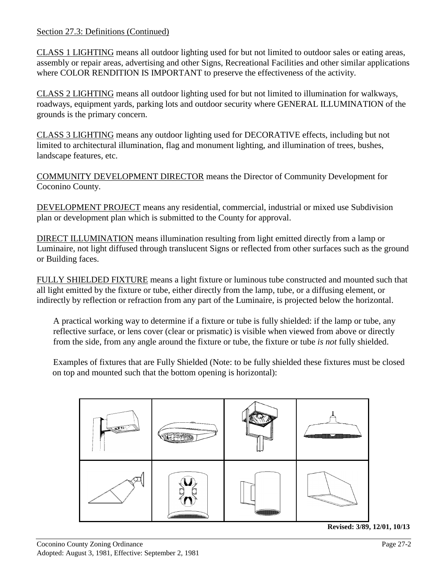## Section 27.3: Definitions (Continued)

CLASS 1 LIGHTING means all outdoor lighting used for but not limited to outdoor sales or eating areas, assembly or repair areas, advertising and other Signs, Recreational Facilities and other similar applications where COLOR RENDITION IS IMPORTANT to preserve the effectiveness of the activity.

CLASS 2 LIGHTING means all outdoor lighting used for but not limited to illumination for walkways, roadways, equipment yards, parking lots and outdoor security where GENERAL ILLUMINATION of the grounds is the primary concern.

CLASS 3 LIGHTING means any outdoor lighting used for DECORATIVE effects, including but not limited to architectural illumination, flag and monument lighting, and illumination of trees, bushes, landscape features, etc.

COMMUNITY DEVELOPMENT DIRECTOR means the Director of Community Development for Coconino County.

DEVELOPMENT PROJECT means any residential, commercial, industrial or mixed use Subdivision plan or development plan which is submitted to the County for approval.

DIRECT ILLUMINATION means illumination resulting from light emitted directly from a lamp or Luminaire, not light diffused through translucent Signs or reflected from other surfaces such as the ground or Building faces.

FULLY SHIELDED FIXTURE means a light fixture or luminous tube constructed and mounted such that all light emitted by the fixture or tube, either directly from the lamp, tube, or a diffusing element, or indirectly by reflection or refraction from any part of the Luminaire, is projected below the horizontal.

A practical working way to determine if a fixture or tube is fully shielded: if the lamp or tube, any reflective surface, or lens cover (clear or prismatic) is visible when viewed from above or directly from the side, from any angle around the fixture or tube, the fixture or tube *is not* fully shielded.

Examples of fixtures that are Fully Shielded (Note: to be fully shielded these fixtures must be closed on top and mounted such that the bottom opening is horizontal):



**Revised: 3/89, 12/01, 10/13**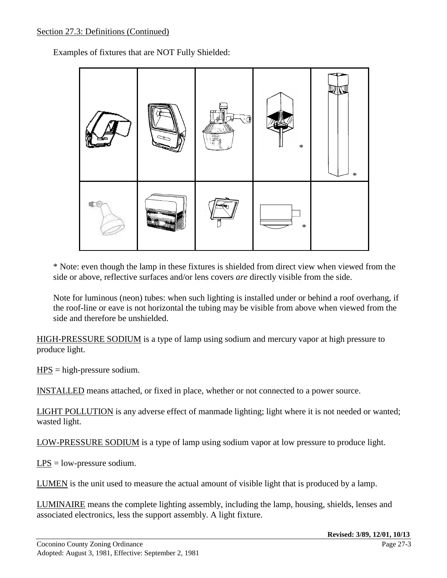## Section 27.3: Definitions (Continued)

Examples of fixtures that are NOT Fully Shielded:



\* Note: even though the lamp in these fixtures is shielded from direct view when viewed from the side or above, reflective surfaces and/or lens covers *are* directly visible from the side.

Note for luminous (neon) tubes: when such lighting is installed under or behind a roof overhang, if the roof-line or eave is not horizontal the tubing may be visible from above when viewed from the side and therefore be unshielded.

HIGH-PRESSURE SODIUM is a type of lamp using sodium and mercury vapor at high pressure to produce light.

 $HPS = high-pressure sodium.$ 

INSTALLED means attached, or fixed in place, whether or not connected to a power source.

LIGHT POLLUTION is any adverse effect of manmade lighting; light where it is not needed or wanted; wasted light.

LOW-PRESSURE SODIUM is a type of lamp using sodium vapor at low pressure to produce light.

LPS = low-pressure sodium.

LUMEN is the unit used to measure the actual amount of visible light that is produced by a lamp.

LUMINAIRE means the complete lighting assembly, including the lamp, housing, shields, lenses and associated electronics, less the support assembly. A light fixture.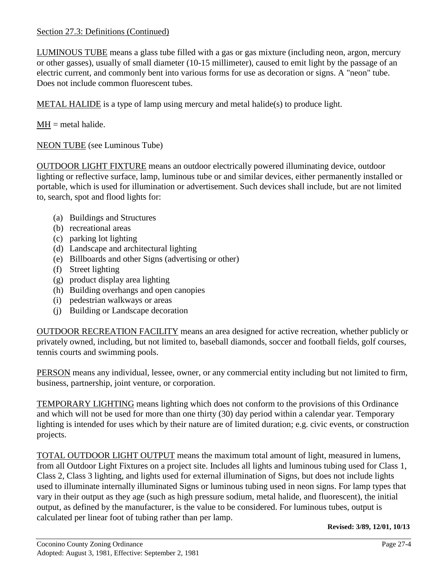# Section 27.3: Definitions (Continued)

LUMINOUS TUBE means a glass tube filled with a gas or gas mixture (including neon, argon, mercury or other gasses), usually of small diameter (10-15 millimeter), caused to emit light by the passage of an electric current, and commonly bent into various forms for use as decoration or signs. A "neon" tube. Does not include common fluorescent tubes.

METAL HALIDE is a type of lamp using mercury and metal halide(s) to produce light.

 $MH = metal \ halide.$ 

NEON TUBE (see Luminous Tube)

OUTDOOR LIGHT FIXTURE means an outdoor electrically powered illuminating device, outdoor lighting or reflective surface, lamp, luminous tube or and similar devices, either permanently installed or portable, which is used for illumination or advertisement. Such devices shall include, but are not limited to, search, spot and flood lights for:

- (a) Buildings and Structures
- (b) recreational areas
- (c) parking lot lighting
- (d) Landscape and architectural lighting
- (e) Billboards and other Signs (advertising or other)
- (f) Street lighting
- (g) product display area lighting
- (h) Building overhangs and open canopies
- (i) pedestrian walkways or areas
- (j) Building or Landscape decoration

OUTDOOR RECREATION FACILITY means an area designed for active recreation, whether publicly or privately owned, including, but not limited to, baseball diamonds, soccer and football fields, golf courses, tennis courts and swimming pools.

PERSON means any individual, lessee, owner, or any commercial entity including but not limited to firm, business, partnership, joint venture, or corporation.

TEMPORARY LIGHTING means lighting which does not conform to the provisions of this Ordinance and which will not be used for more than one thirty (30) day period within a calendar year. Temporary lighting is intended for uses which by their nature are of limited duration; e.g. civic events, or construction projects.

TOTAL OUTDOOR LIGHT OUTPUT means the maximum total amount of light, measured in lumens, from all Outdoor Light Fixtures on a project site. Includes all lights and luminous tubing used for Class 1, Class 2, Class 3 lighting, and lights used for external illumination of Signs, but does not include lights used to illuminate internally illuminated Signs or luminous tubing used in neon signs. For lamp types that vary in their output as they age (such as high pressure sodium, metal halide, and fluorescent), the initial output, as defined by the manufacturer, is the value to be considered. For luminous tubes, output is calculated per linear foot of tubing rather than per lamp.

**Revised: 3/89, 12/01, 10/13**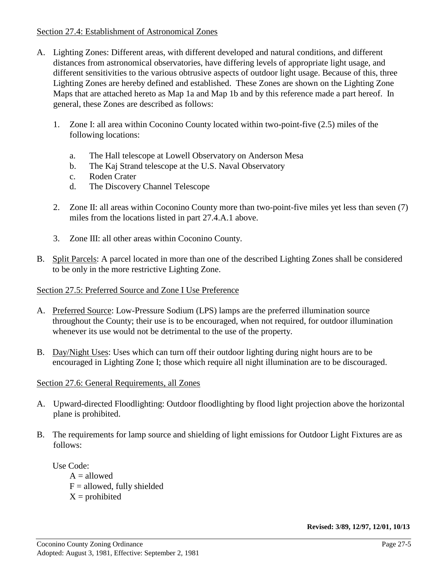#### Section 27.4: Establishment of Astronomical Zones

- A. Lighting Zones: Different areas, with different developed and natural conditions, and different distances from astronomical observatories, have differing levels of appropriate light usage, and different sensitivities to the various obtrusive aspects of outdoor light usage. Because of this, three Lighting Zones are hereby defined and established. These Zones are shown on the Lighting Zone Maps that are attached hereto as Map 1a and Map 1b and by this reference made a part hereof. In general, these Zones are described as follows:
	- 1. Zone I: all area within Coconino County located within two-point-five (2.5) miles of the following locations:
		- a. The Hall telescope at Lowell Observatory on Anderson Mesa
		- b. The Kaj Strand telescope at the U.S. Naval Observatory
		- c. Roden Crater
		- d. The Discovery Channel Telescope
	- 2. Zone II: all areas within Coconino County more than two-point-five miles yet less than seven (7) miles from the locations listed in part 27.4.A.1 above.
	- 3. Zone III: all other areas within Coconino County.
- B. Split Parcels: A parcel located in more than one of the described Lighting Zones shall be considered to be only in the more restrictive Lighting Zone.

## Section 27.5: Preferred Source and Zone I Use Preference

- A. Preferred Source: Low-Pressure Sodium (LPS) lamps are the preferred illumination source throughout the County; their use is to be encouraged, when not required, for outdoor illumination whenever its use would not be detrimental to the use of the property.
- B. Day/Night Uses: Uses which can turn off their outdoor lighting during night hours are to be encouraged in Lighting Zone I; those which require all night illumination are to be discouraged.

# Section 27.6: General Requirements, all Zones

- A. Upward-directed Floodlighting: Outdoor floodlighting by flood light projection above the horizontal plane is prohibited.
- B. The requirements for lamp source and shielding of light emissions for Outdoor Light Fixtures are as follows:

Use Code:  $A =$ allowed  $F =$  allowed, fully shielded  $X =$  prohibited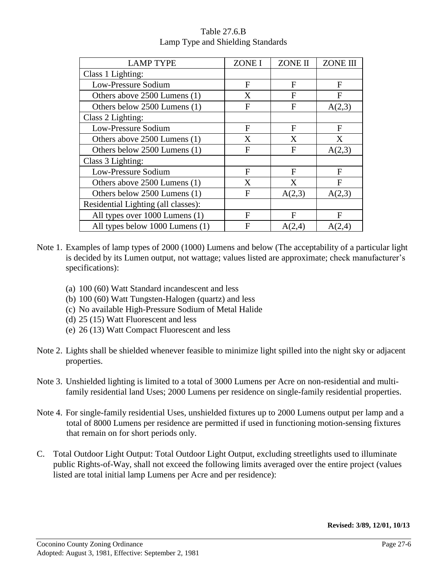| <b>LAMP TYPE</b>                    | <b>ZONE I</b> | <b>ZONE II</b> | <b>ZONE III</b> |
|-------------------------------------|---------------|----------------|-----------------|
| Class 1 Lighting:                   |               |                |                 |
| Low-Pressure Sodium                 | F             | $\mathbf{F}$   | F               |
| Others above 2500 Lumens (1)        | X             | F              | F               |
| Others below 2500 Lumens (1)        | F             | F              | A(2,3)          |
| Class 2 Lighting:                   |               |                |                 |
| Low-Pressure Sodium                 | F             | F              | F               |
| Others above 2500 Lumens (1)        | X             | X              | X               |
| Others below 2500 Lumens (1)        | F             | F              | A(2,3)          |
| Class 3 Lighting:                   |               |                |                 |
| Low-Pressure Sodium                 | F             | F              | F               |
| Others above 2500 Lumens (1)        | X             | X              | F               |
| Others below 2500 Lumens (1)        | F             | A(2,3)         | A(2,3)          |
| Residential Lighting (all classes): |               |                |                 |
| All types over 1000 Lumens (1)      | F             | F              | F               |
| All types below 1000 Lumens (1)     | F             | A(2,4)         | A(2,4)          |

# Table 27.6.B Lamp Type and Shielding Standards

- Note 1. Examples of lamp types of 2000 (1000) Lumens and below (The acceptability of a particular light is decided by its Lumen output, not wattage; values listed are approximate; check manufacturer's specifications):
	- (a) 100 (60) Watt Standard incandescent and less
	- (b) 100 (60) Watt Tungsten-Halogen (quartz) and less
	- (c) No available High-Pressure Sodium of Metal Halide
	- (d) 25 (15) Watt Fluorescent and less
	- (e) 26 (13) Watt Compact Fluorescent and less
- Note 2. Lights shall be shielded whenever feasible to minimize light spilled into the night sky or adjacent properties.
- Note 3. Unshielded lighting is limited to a total of 3000 Lumens per Acre on non-residential and multifamily residential land Uses; 2000 Lumens per residence on single-family residential properties.
- Note 4. For single-family residential Uses, unshielded fixtures up to 2000 Lumens output per lamp and a total of 8000 Lumens per residence are permitted if used in functioning motion-sensing fixtures that remain on for short periods only.
- C. Total Outdoor Light Output: Total Outdoor Light Output, excluding streetlights used to illuminate public Rights-of-Way, shall not exceed the following limits averaged over the entire project (values listed are total initial lamp Lumens per Acre and per residence):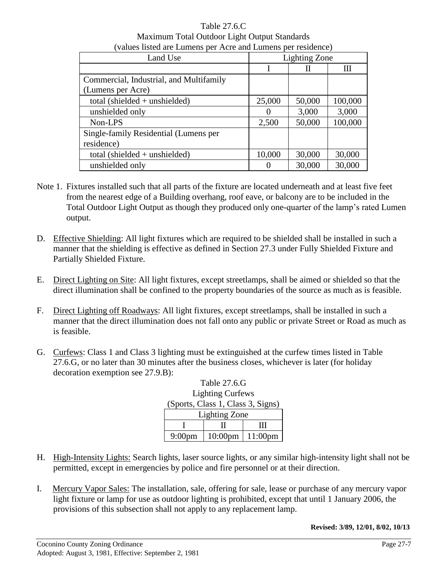| (values listed are Lumens per Acre and Lumens per residence) |                      |        |         |  |
|--------------------------------------------------------------|----------------------|--------|---------|--|
| Land Use                                                     | <b>Lighting Zone</b> |        |         |  |
|                                                              |                      | Н      | Ш       |  |
| Commercial, Industrial, and Multifamily                      |                      |        |         |  |
| (Lumens per Acre)                                            |                      |        |         |  |
| total (shielded $+$ unshielded)                              | 25,000               | 50,000 | 100,000 |  |
| unshielded only                                              |                      | 3,000  | 3,000   |  |
| Non-LPS                                                      | 2,500                | 50,000 | 100,000 |  |
| Single-family Residential (Lumens per                        |                      |        |         |  |
| residence)                                                   |                      |        |         |  |
| total (shielded $+$ unshielded)                              | 10,000               | 30,000 | 30,000  |  |
| unshielded only                                              |                      | 30,000 | 30,000  |  |

Table 27.6.C Maximum Total Outdoor Light Output Standards

- Note 1. Fixtures installed such that all parts of the fixture are located underneath and at least five feet from the nearest edge of a Building overhang, roof eave, or balcony are to be included in the Total Outdoor Light Output as though they produced only one-quarter of the lamp's rated Lumen output.
- D. Effective Shielding: All light fixtures which are required to be shielded shall be installed in such a manner that the shielding is effective as defined in Section 27.3 under Fully Shielded Fixture and Partially Shielded Fixture.
- E. Direct Lighting on Site: All light fixtures, except streetlamps, shall be aimed or shielded so that the direct illumination shall be confined to the property boundaries of the source as much as is feasible.
- F. Direct Lighting off Roadways: All light fixtures, except streetlamps, shall be installed in such a manner that the direct illumination does not fall onto any public or private Street or Road as much as is feasible.
- G. Curfews: Class 1 and Class 3 lighting must be extinguished at the curfew times listed in Table 27.6.G, or no later than 30 minutes after the business closes, whichever is later (for holiday decoration exemption see 27.9.B):

| <b>Lighting Curfews</b>           |                             |   |  |  |
|-----------------------------------|-----------------------------|---|--|--|
| (Sports, Class 1, Class 3, Signs) |                             |   |  |  |
| <b>Lighting Zone</b>              |                             |   |  |  |
|                                   |                             | Ш |  |  |
| $9:00$ pm                         | $10:00 \text{pm}$   11:00pm |   |  |  |

Table 27.6.G

- H. High-Intensity Lights: Search lights, laser source lights, or any similar high-intensity light shall not be permitted, except in emergencies by police and fire personnel or at their direction.
- I. Mercury Vapor Sales: The installation, sale, offering for sale, lease or purchase of any mercury vapor light fixture or lamp for use as outdoor lighting is prohibited, except that until 1 January 2006, the provisions of this subsection shall not apply to any replacement lamp.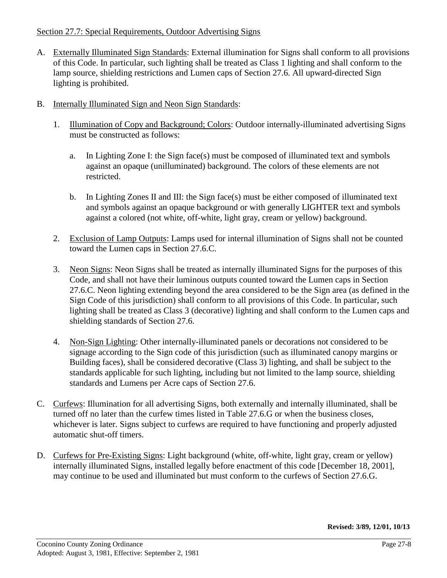# Section 27.7: Special Requirements, Outdoor Advertising Signs

- A. Externally Illuminated Sign Standards: External illumination for Signs shall conform to all provisions of this Code. In particular, such lighting shall be treated as Class 1 lighting and shall conform to the lamp source, shielding restrictions and Lumen caps of Section 27.6. All upward-directed Sign lighting is prohibited.
- B. Internally Illuminated Sign and Neon Sign Standards:
	- 1. Illumination of Copy and Background; Colors: Outdoor internally-illuminated advertising Signs must be constructed as follows:
		- a. In Lighting Zone I: the Sign face(s) must be composed of illuminated text and symbols against an opaque (unilluminated) background. The colors of these elements are not restricted.
		- b. In Lighting Zones II and III: the Sign face(s) must be either composed of illuminated text and symbols against an opaque background or with generally LIGHTER text and symbols against a colored (not white, off-white, light gray, cream or yellow) background.
	- 2. Exclusion of Lamp Outputs: Lamps used for internal illumination of Signs shall not be counted toward the Lumen caps in Section 27.6.C.
	- 3. Neon Signs: Neon Signs shall be treated as internally illuminated Signs for the purposes of this Code, and shall not have their luminous outputs counted toward the Lumen caps in Section 27.6.C. Neon lighting extending beyond the area considered to be the Sign area (as defined in the Sign Code of this jurisdiction) shall conform to all provisions of this Code. In particular, such lighting shall be treated as Class 3 (decorative) lighting and shall conform to the Lumen caps and shielding standards of Section 27.6.
	- 4. Non-Sign Lighting: Other internally-illuminated panels or decorations not considered to be signage according to the Sign code of this jurisdiction (such as illuminated canopy margins or Building faces), shall be considered decorative (Class 3) lighting, and shall be subject to the standards applicable for such lighting, including but not limited to the lamp source, shielding standards and Lumens per Acre caps of Section 27.6.
- C. Curfews: Illumination for all advertising Signs, both externally and internally illuminated, shall be turned off no later than the curfew times listed in Table 27.6.G or when the business closes, whichever is later. Signs subject to curfews are required to have functioning and properly adjusted automatic shut-off timers.
- D. Curfews for Pre-Existing Signs: Light background (white, off-white, light gray, cream or yellow) internally illuminated Signs, installed legally before enactment of this code [December 18, 2001], may continue to be used and illuminated but must conform to the curfews of Section 27.6.G.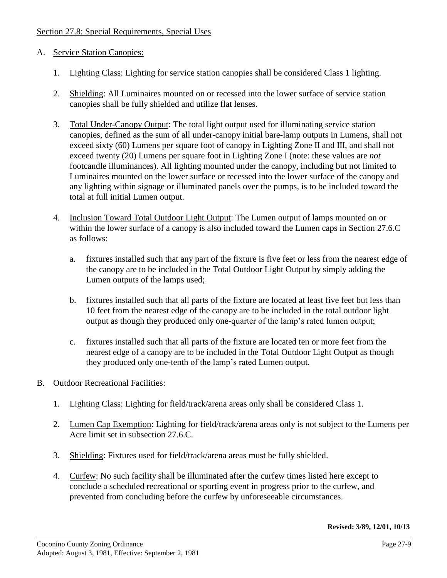## Section 27.8: Special Requirements, Special Uses

#### A. Service Station Canopies:

- 1. Lighting Class: Lighting for service station canopies shall be considered Class 1 lighting.
- 2. Shielding: All Luminaires mounted on or recessed into the lower surface of service station canopies shall be fully shielded and utilize flat lenses.
- 3. Total Under-Canopy Output: The total light output used for illuminating service station canopies, defined as the sum of all under-canopy initial bare-lamp outputs in Lumens, shall not exceed sixty (60) Lumens per square foot of canopy in Lighting Zone II and III, and shall not exceed twenty (20) Lumens per square foot in Lighting Zone I (note: these values are *not* footcandle illuminances). All lighting mounted under the canopy, including but not limited to Luminaires mounted on the lower surface or recessed into the lower surface of the canopy and any lighting within signage or illuminated panels over the pumps, is to be included toward the total at full initial Lumen output.
- 4. Inclusion Toward Total Outdoor Light Output: The Lumen output of lamps mounted on or within the lower surface of a canopy is also included toward the Lumen caps in Section 27.6.C as follows:
	- a. fixtures installed such that any part of the fixture is five feet or less from the nearest edge of the canopy are to be included in the Total Outdoor Light Output by simply adding the Lumen outputs of the lamps used;
	- b. fixtures installed such that all parts of the fixture are located at least five feet but less than 10 feet from the nearest edge of the canopy are to be included in the total outdoor light output as though they produced only one-quarter of the lamp's rated lumen output;
	- c. fixtures installed such that all parts of the fixture are located ten or more feet from the nearest edge of a canopy are to be included in the Total Outdoor Light Output as though they produced only one-tenth of the lamp's rated Lumen output.
- B. Outdoor Recreational Facilities:
	- 1. Lighting Class: Lighting for field/track/arena areas only shall be considered Class 1.
	- 2. Lumen Cap Exemption: Lighting for field/track/arena areas only is not subject to the Lumens per Acre limit set in subsection 27.6.C.
	- 3. Shielding: Fixtures used for field/track/arena areas must be fully shielded.
	- 4. Curfew: No such facility shall be illuminated after the curfew times listed here except to conclude a scheduled recreational or sporting event in progress prior to the curfew, and prevented from concluding before the curfew by unforeseeable circumstances.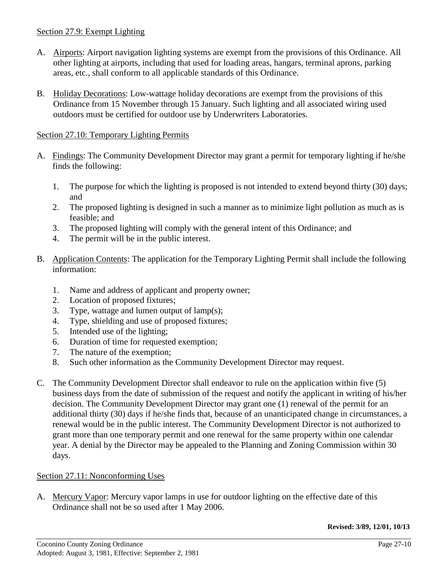# Section 27.9: Exempt Lighting

- A. Airports: Airport navigation lighting systems are exempt from the provisions of this Ordinance. All other lighting at airports, including that used for loading areas, hangars, terminal aprons, parking areas, etc., shall conform to all applicable standards of this Ordinance.
- B. Holiday Decorations: Low-wattage holiday decorations are exempt from the provisions of this Ordinance from 15 November through 15 January. Such lighting and all associated wiring used outdoors must be certified for outdoor use by Underwriters Laboratories.

# Section 27.10: Temporary Lighting Permits

- A. Findings: The Community Development Director may grant a permit for temporary lighting if he/she finds the following:
	- 1. The purpose for which the lighting is proposed is not intended to extend beyond thirty (30) days; and
	- 2. The proposed lighting is designed in such a manner as to minimize light pollution as much as is feasible; and
	- 3. The proposed lighting will comply with the general intent of this Ordinance; and
	- 4. The permit will be in the public interest.
- B. Application Contents: The application for the Temporary Lighting Permit shall include the following information:
	- 1. Name and address of applicant and property owner;
	- 2. Location of proposed fixtures;
	- 3. Type, wattage and lumen output of lamp(s);
	- 4. Type, shielding and use of proposed fixtures;
	- 5. Intended use of the lighting;
	- 6. Duration of time for requested exemption;
	- 7. The nature of the exemption;
	- 8. Such other information as the Community Development Director may request.
- C. The Community Development Director shall endeavor to rule on the application within five (5) business days from the date of submission of the request and notify the applicant in writing of his/her decision. The Community Development Director may grant one (1) renewal of the permit for an additional thirty (30) days if he/she finds that, because of an unanticipated change in circumstances, a renewal would be in the public interest. The Community Development Director is not authorized to grant more than one temporary permit and one renewal for the same property within one calendar year. A denial by the Director may be appealed to the Planning and Zoning Commission within 30 days.

# Section 27.11: Nonconforming Uses

A. Mercury Vapor: Mercury vapor lamps in use for outdoor lighting on the effective date of this Ordinance shall not be so used after 1 May 2006.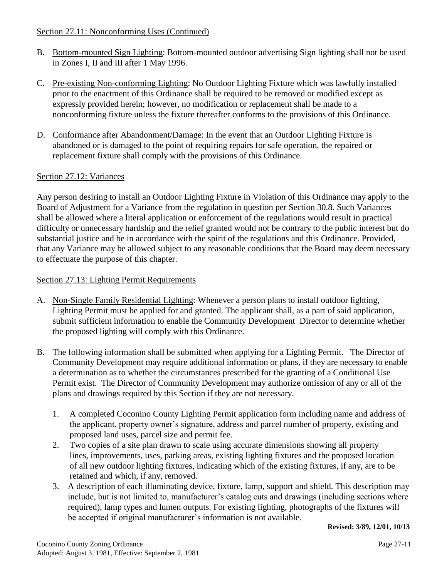#### Section 27.11: Nonconforming Uses (Continued)

- B. Bottom-mounted Sign Lighting: Bottom-mounted outdoor advertising Sign lighting shall not be used in Zones I, II and III after 1 May 1996.
- C. Pre-existing Non-conforming Lighting: No Outdoor Lighting Fixture which was lawfully installed prior to the enactment of this Ordinance shall be required to be removed or modified except as expressly provided herein; however, no modification or replacement shall be made to a nonconforming fixture unless the fixture thereafter conforms to the provisions of this Ordinance.
- D. Conformance after Abandonment/Damage: In the event that an Outdoor Lighting Fixture is abandoned or is damaged to the point of requiring repairs for safe operation, the repaired or replacement fixture shall comply with the provisions of this Ordinance.

## Section 27.12: Variances

Any person desiring to install an Outdoor Lighting Fixture in Violation of this Ordinance may apply to the Board of Adjustment for a Variance from the regulation in question per Section 30.8. Such Variances shall be allowed where a literal application or enforcement of the regulations would result in practical difficulty or unnecessary hardship and the relief granted would not be contrary to the public interest but do substantial justice and be in accordance with the spirit of the regulations and this Ordinance. Provided, that any Variance may be allowed subject to any reasonable conditions that the Board may deem necessary to effectuate the purpose of this chapter.

## Section 27.13: Lighting Permit Requirements

- A. Non-Single Family Residential Lighting: Whenever a person plans to install outdoor lighting, Lighting Permit must be applied for and granted. The applicant shall, as a part of said application, submit sufficient information to enable the Community Development Director to determine whether the proposed lighting will comply with this Ordinance.
- B. The following information shall be submitted when applying for a Lighting Permit. The Director of Community Development may require additional information or plans, if they are necessary to enable a determination as to whether the circumstances prescribed for the granting of a Conditional Use Permit exist. The Director of Community Development may authorize omission of any or all of the plans and drawings required by this Section if they are not necessary.
	- 1. A completed Coconino County Lighting Permit application form including name and address of the applicant, property owner's signature, address and parcel number of property, existing and proposed land uses, parcel size and permit fee.
	- 2. Two copies of a site plan drawn to scale using accurate dimensions showing all property lines, improvements, uses, parking areas, existing lighting fixtures and the proposed location of all new outdoor lighting fixtures, indicating which of the existing fixtures, if any, are to be retained and which, if any, removed.
	- 3. A description of each illuminating device, fixture, lamp, support and shield. This description may include, but is not limited to, manufacturer's catalog cuts and drawings (including sections where required), lamp types and lumen outputs. For existing lighting, photographs of the fixtures will be accepted if original manufacturer's information is not available.

**Revised: 3/89, 12/01, 10/13**